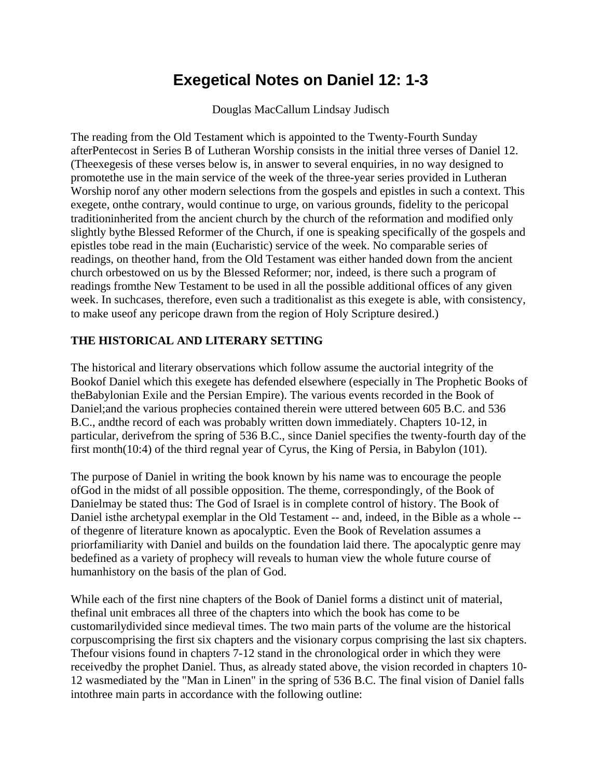## **Exegetical Notes on Daniel 12: 1-3**

Douglas MacCallum Lindsay Judisch

The reading from the Old Testament which is appointed to the Twenty-Fourth Sunday afterPentecost in Series B of Lutheran Worship consists in the initial three verses of Daniel 12. (Theexegesis of these verses below is, in answer to several enquiries, in no way designed to promotethe use in the main service of the week of the three-year series provided in Lutheran Worship norof any other modern selections from the gospels and epistles in such a context. This exegete, onthe contrary, would continue to urge, on various grounds, fidelity to the pericopal traditioninherited from the ancient church by the church of the reformation and modified only slightly bythe Blessed Reformer of the Church, if one is speaking specifically of the gospels and epistles tobe read in the main (Eucharistic) service of the week. No comparable series of readings, on theother hand, from the Old Testament was either handed down from the ancient church orbestowed on us by the Blessed Reformer; nor, indeed, is there such a program of readings fromthe New Testament to be used in all the possible additional offices of any given week. In suchcases, therefore, even such a traditionalist as this exegete is able, with consistency, to make useof any pericope drawn from the region of Holy Scripture desired.)

## **THE HISTORICAL AND LITERARY SETTING**

The historical and literary observations which follow assume the auctorial integrity of the Bookof Daniel which this exegete has defended elsewhere (especially in The Prophetic Books of theBabylonian Exile and the Persian Empire). The various events recorded in the Book of Daniel;and the various prophecies contained therein were uttered between 605 B.C. and 536 B.C., andthe record of each was probably written down immediately. Chapters 10-12, in particular, derivefrom the spring of 536 B.C., since Daniel specifies the twenty-fourth day of the first month(10:4) of the third regnal year of Cyrus, the King of Persia, in Babylon (101).

The purpose of Daniel in writing the book known by his name was to encourage the people ofGod in the midst of all possible opposition. The theme, correspondingly, of the Book of Danielmay be stated thus: The God of Israel is in complete control of history. The Book of Daniel isthe archetypal exemplar in the Old Testament -- and, indeed, in the Bible as a whole - of thegenre of literature known as apocalyptic. Even the Book of Revelation assumes a priorfamiliarity with Daniel and builds on the foundation laid there. The apocalyptic genre may bedefined as a variety of prophecy will reveals to human view the whole future course of humanhistory on the basis of the plan of God.

While each of the first nine chapters of the Book of Daniel forms a distinct unit of material, thefinal unit embraces all three of the chapters into which the book has come to be customarilydivided since medieval times. The two main parts of the volume are the historical corpuscomprising the first six chapters and the visionary corpus comprising the last six chapters. Thefour visions found in chapters 7-12 stand in the chronological order in which they were receivedby the prophet Daniel. Thus, as already stated above, the vision recorded in chapters 10- 12 wasmediated by the "Man in Linen" in the spring of 536 B.C. The final vision of Daniel falls intothree main parts in accordance with the following outline: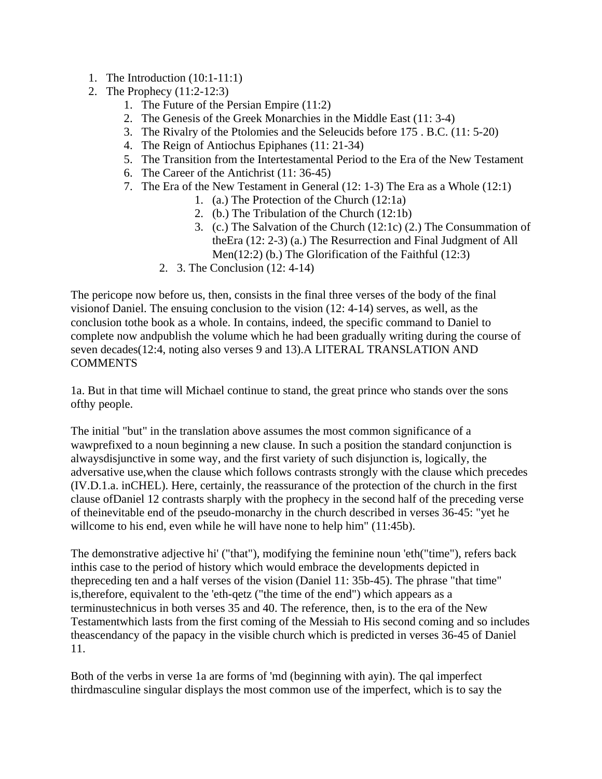- 1. The Introduction (10:1-11:1)
- 2. The Prophecy (11:2-12:3)
	- 1. The Future of the Persian Empire (11:2)
	- 2. The Genesis of the Greek Monarchies in the Middle East (11: 3-4)
	- 3. The Rivalry of the Ptolomies and the Seleucids before 175 . B.C. (11: 5-20)
	- 4. The Reign of Antiochus Epiphanes (11: 21-34)
	- 5. The Transition from the Intertestamental Period to the Era of the New Testament
	- 6. The Career of the Antichrist (11: 36-45)
	- 7. The Era of the New Testament in General (12: 1-3) The Era as a Whole (12:1)
		- 1. (a.) The Protection of the Church (12:1a)
		- 2. (b.) The Tribulation of the Church (12:1b)
		- 3. (c.) The Salvation of the Church (12:1c) (2.) The Consummation of theEra (12: 2-3) (a.) The Resurrection and Final Judgment of All Men(12:2) (b.) The Glorification of the Faithful (12:3)
		- 2. 3. The Conclusion (12: 4-14)

The pericope now before us, then, consists in the final three verses of the body of the final visionof Daniel. The ensuing conclusion to the vision (12: 4-14) serves, as well, as the conclusion tothe book as a whole. In contains, indeed, the specific command to Daniel to complete now andpublish the volume which he had been gradually writing during the course of seven decades(12:4, noting also verses 9 and 13).A LITERAL TRANSLATION AND **COMMENTS** 

1a. But in that time will Michael continue to stand, the great prince who stands over the sons ofthy people.

The initial "but" in the translation above assumes the most common significance of a wawprefixed to a noun beginning a new clause. In such a position the standard conjunction is alwaysdisjunctive in some way, and the first variety of such disjunction is, logically, the adversative use,when the clause which follows contrasts strongly with the clause which precedes (IV.D.1.a. inCHEL). Here, certainly, the reassurance of the protection of the church in the first clause ofDaniel 12 contrasts sharply with the prophecy in the second half of the preceding verse of theinevitable end of the pseudo-monarchy in the church described in verses 36-45: "yet he willcome to his end, even while he will have none to help him" (11:45b).

The demonstrative adjective hi' ("that"), modifying the feminine noun 'eth("time"), refers back inthis case to the period of history which would embrace the developments depicted in thepreceding ten and a half verses of the vision (Daniel 11: 35b-45). The phrase "that time" is,therefore, equivalent to the 'eth-qetz ("the time of the end") which appears as a terminustechnicus in both verses 35 and 40. The reference, then, is to the era of the New Testamentwhich lasts from the first coming of the Messiah to His second coming and so includes theascendancy of the papacy in the visible church which is predicted in verses 36-45 of Daniel 11.

Both of the verbs in verse 1a are forms of 'md (beginning with ayin). The qal imperfect thirdmasculine singular displays the most common use of the imperfect, which is to say the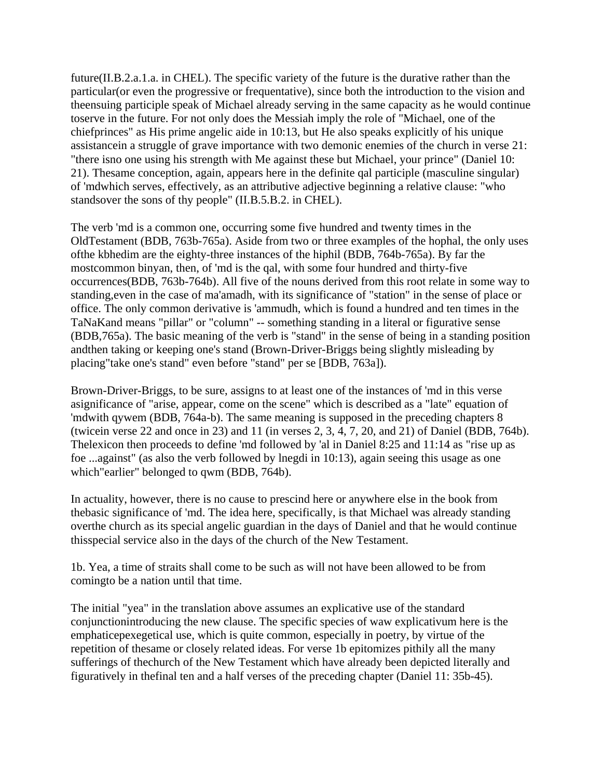future(II.B.2.a.1.a. in CHEL). The specific variety of the future is the durative rather than the particular(or even the progressive or frequentative), since both the introduction to the vision and theensuing participle speak of Michael already serving in the same capacity as he would continue toserve in the future. For not only does the Messiah imply the role of "Michael, one of the chiefprinces" as His prime angelic aide in 10:13, but He also speaks explicitly of his unique assistancein a struggle of grave importance with two demonic enemies of the church in verse 21: "there isno one using his strength with Me against these but Michael, your prince" (Daniel 10: 21). Thesame conception, again, appears here in the definite qal participle (masculine singular) of 'mdwhich serves, effectively, as an attributive adjective beginning a relative clause: "who standsover the sons of thy people" (II.B.5.B.2. in CHEL).

The verb 'md is a common one, occurring some five hundred and twenty times in the OldTestament (BDB, 763b-765a). Aside from two or three examples of the hophal, the only uses ofthe kbhedim are the eighty-three instances of the hiphil (BDB, 764b-765a). By far the mostcommon binyan, then, of 'md is the qal, with some four hundred and thirty-five occurrences(BDB, 763b-764b). All five of the nouns derived from this root relate in some way to standing,even in the case of ma'amadh, with its significance of "station" in the sense of place or office. The only common derivative is 'ammudh, which is found a hundred and ten times in the TaNaKand means "pillar" or "column" -- something standing in a literal or figurative sense (BDB,765a). The basic meaning of the verb is "stand" in the sense of being in a standing position andthen taking or keeping one's stand (Brown-Driver-Briggs being slightly misleading by placing"take one's stand" even before "stand" per se [BDB, 763a]).

Brown-Driver-Briggs, to be sure, assigns to at least one of the instances of 'md in this verse asignificance of "arise, appear, come on the scene" which is described as a "late" equation of 'mdwith qywem (BDB, 764a-b). The same meaning is supposed in the preceding chapters 8 (twicein verse 22 and once in 23) and 11 (in verses 2, 3, 4, 7, 20, and 21) of Daniel (BDB, 764b). Thelexicon then proceeds to define 'md followed by 'al in Daniel 8:25 and 11:14 as "rise up as foe ...against" (as also the verb followed by lnegdi in 10:13), again seeing this usage as one which"earlier" belonged to qwm (BDB, 764b).

In actuality, however, there is no cause to prescind here or anywhere else in the book from thebasic significance of 'md. The idea here, specifically, is that Michael was already standing overthe church as its special angelic guardian in the days of Daniel and that he would continue thisspecial service also in the days of the church of the New Testament.

1b. Yea, a time of straits shall come to be such as will not have been allowed to be from comingto be a nation until that time.

The initial "yea" in the translation above assumes an explicative use of the standard conjunctionintroducing the new clause. The specific species of waw explicativum here is the emphaticepexegetical use, which is quite common, especially in poetry, by virtue of the repetition of thesame or closely related ideas. For verse 1b epitomizes pithily all the many sufferings of thechurch of the New Testament which have already been depicted literally and figuratively in thefinal ten and a half verses of the preceding chapter (Daniel 11: 35b-45).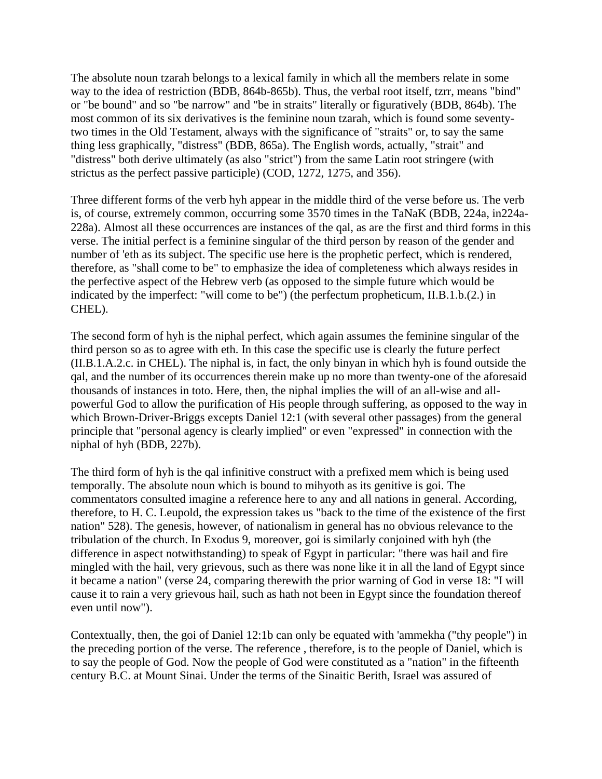The absolute noun tzarah belongs to a lexical family in which all the members relate in some way to the idea of restriction (BDB, 864b-865b). Thus, the verbal root itself, tzrr, means "bind" or "be bound" and so "be narrow" and "be in straits" literally or figuratively (BDB, 864b). The most common of its six derivatives is the feminine noun tzarah, which is found some seventytwo times in the Old Testament, always with the significance of "straits" or, to say the same thing less graphically, "distress" (BDB, 865a). The English words, actually, "strait" and "distress" both derive ultimately (as also "strict") from the same Latin root stringere (with strictus as the perfect passive participle) (COD, 1272, 1275, and 356).

Three different forms of the verb hyh appear in the middle third of the verse before us. The verb is, of course, extremely common, occurring some 3570 times in the TaNaK (BDB, 224a, in224a-228a). Almost all these occurrences are instances of the qal, as are the first and third forms in this verse. The initial perfect is a feminine singular of the third person by reason of the gender and number of 'eth as its subject. The specific use here is the prophetic perfect, which is rendered, therefore, as "shall come to be" to emphasize the idea of completeness which always resides in the perfective aspect of the Hebrew verb (as opposed to the simple future which would be indicated by the imperfect: "will come to be") (the perfectum propheticum, II.B.1.b.(2.) in CHEL).

The second form of hyh is the niphal perfect, which again assumes the feminine singular of the third person so as to agree with eth. In this case the specific use is clearly the future perfect (II.B.1.A.2.c. in CHEL). The niphal is, in fact, the only binyan in which hyh is found outside the qal, and the number of its occurrences therein make up no more than twenty-one of the aforesaid thousands of instances in toto. Here, then, the niphal implies the will of an all-wise and allpowerful God to allow the purification of His people through suffering, as opposed to the way in which Brown-Driver-Briggs excepts Daniel 12:1 (with several other passages) from the general principle that "personal agency is clearly implied" or even "expressed" in connection with the niphal of hyh (BDB, 227b).

The third form of hyh is the qal infinitive construct with a prefixed mem which is being used temporally. The absolute noun which is bound to mihyoth as its genitive is goi. The commentators consulted imagine a reference here to any and all nations in general. According, therefore, to H. C. Leupold, the expression takes us "back to the time of the existence of the first nation" 528). The genesis, however, of nationalism in general has no obvious relevance to the tribulation of the church. In Exodus 9, moreover, goi is similarly conjoined with hyh (the difference in aspect notwithstanding) to speak of Egypt in particular: "there was hail and fire mingled with the hail, very grievous, such as there was none like it in all the land of Egypt since it became a nation" (verse 24, comparing therewith the prior warning of God in verse 18: "I will cause it to rain a very grievous hail, such as hath not been in Egypt since the foundation thereof even until now").

Contextually, then, the goi of Daniel 12:1b can only be equated with 'ammekha ("thy people") in the preceding portion of the verse. The reference , therefore, is to the people of Daniel, which is to say the people of God. Now the people of God were constituted as a "nation" in the fifteenth century B.C. at Mount Sinai. Under the terms of the Sinaitic Berith, Israel was assured of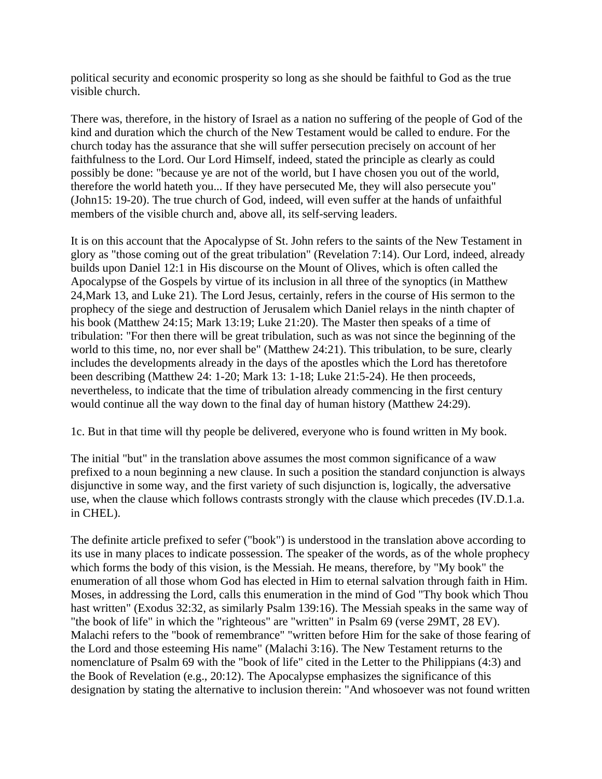political security and economic prosperity so long as she should be faithful to God as the true visible church.

There was, therefore, in the history of Israel as a nation no suffering of the people of God of the kind and duration which the church of the New Testament would be called to endure. For the church today has the assurance that she will suffer persecution precisely on account of her faithfulness to the Lord. Our Lord Himself, indeed, stated the principle as clearly as could possibly be done: "because ye are not of the world, but I have chosen you out of the world, therefore the world hateth you... If they have persecuted Me, they will also persecute you" (John15: 19-20). The true church of God, indeed, will even suffer at the hands of unfaithful members of the visible church and, above all, its self-serving leaders.

It is on this account that the Apocalypse of St. John refers to the saints of the New Testament in glory as "those coming out of the great tribulation" (Revelation 7:14). Our Lord, indeed, already builds upon Daniel 12:1 in His discourse on the Mount of Olives, which is often called the Apocalypse of the Gospels by virtue of its inclusion in all three of the synoptics (in Matthew 24,Mark 13, and Luke 21). The Lord Jesus, certainly, refers in the course of His sermon to the prophecy of the siege and destruction of Jerusalem which Daniel relays in the ninth chapter of his book (Matthew 24:15; Mark 13:19; Luke 21:20). The Master then speaks of a time of tribulation: "For then there will be great tribulation, such as was not since the beginning of the world to this time, no, nor ever shall be" (Matthew 24:21). This tribulation, to be sure, clearly includes the developments already in the days of the apostles which the Lord has theretofore been describing (Matthew 24: 1-20; Mark 13: 1-18; Luke 21:5-24). He then proceeds, nevertheless, to indicate that the time of tribulation already commencing in the first century would continue all the way down to the final day of human history (Matthew 24:29).

1c. But in that time will thy people be delivered, everyone who is found written in My book.

The initial "but" in the translation above assumes the most common significance of a waw prefixed to a noun beginning a new clause. In such a position the standard conjunction is always disjunctive in some way, and the first variety of such disjunction is, logically, the adversative use, when the clause which follows contrasts strongly with the clause which precedes (IV.D.1.a. in CHEL).

The definite article prefixed to sefer ("book") is understood in the translation above according to its use in many places to indicate possession. The speaker of the words, as of the whole prophecy which forms the body of this vision, is the Messiah. He means, therefore, by "My book" the enumeration of all those whom God has elected in Him to eternal salvation through faith in Him. Moses, in addressing the Lord, calls this enumeration in the mind of God "Thy book which Thou hast written" (Exodus 32:32, as similarly Psalm 139:16). The Messiah speaks in the same way of "the book of life" in which the "righteous" are "written" in Psalm 69 (verse 29MT, 28 EV). Malachi refers to the "book of remembrance" "written before Him for the sake of those fearing of the Lord and those esteeming His name" (Malachi 3:16). The New Testament returns to the nomenclature of Psalm 69 with the "book of life" cited in the Letter to the Philippians (4:3) and the Book of Revelation (e.g., 20:12). The Apocalypse emphasizes the significance of this designation by stating the alternative to inclusion therein: "And whosoever was not found written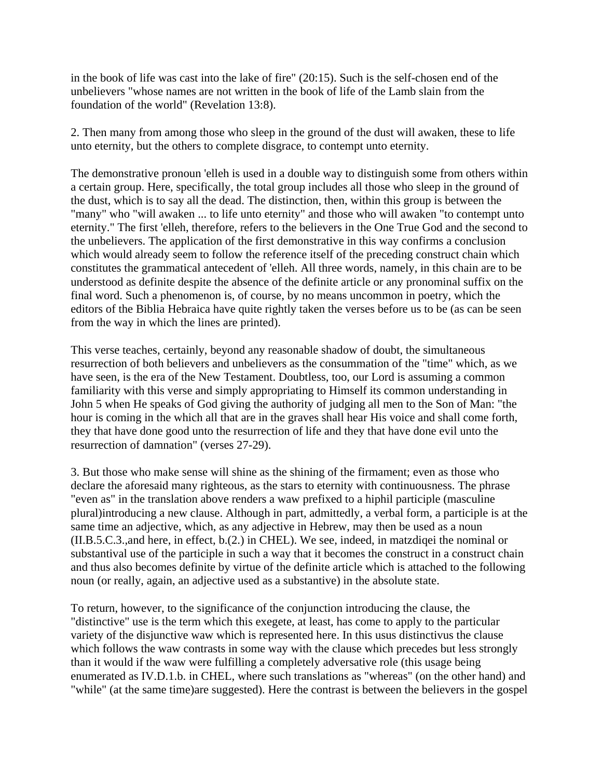in the book of life was cast into the lake of fire" (20:15). Such is the self-chosen end of the unbelievers "whose names are not written in the book of life of the Lamb slain from the foundation of the world" (Revelation 13:8).

2. Then many from among those who sleep in the ground of the dust will awaken, these to life unto eternity, but the others to complete disgrace, to contempt unto eternity.

The demonstrative pronoun 'elleh is used in a double way to distinguish some from others within a certain group. Here, specifically, the total group includes all those who sleep in the ground of the dust, which is to say all the dead. The distinction, then, within this group is between the "many" who "will awaken ... to life unto eternity" and those who will awaken "to contempt unto eternity." The first 'elleh, therefore, refers to the believers in the One True God and the second to the unbelievers. The application of the first demonstrative in this way confirms a conclusion which would already seem to follow the reference itself of the preceding construct chain which constitutes the grammatical antecedent of 'elleh. All three words, namely, in this chain are to be understood as definite despite the absence of the definite article or any pronominal suffix on the final word. Such a phenomenon is, of course, by no means uncommon in poetry, which the editors of the Biblia Hebraica have quite rightly taken the verses before us to be (as can be seen from the way in which the lines are printed).

This verse teaches, certainly, beyond any reasonable shadow of doubt, the simultaneous resurrection of both believers and unbelievers as the consummation of the "time" which, as we have seen, is the era of the New Testament. Doubtless, too, our Lord is assuming a common familiarity with this verse and simply appropriating to Himself its common understanding in John 5 when He speaks of God giving the authority of judging all men to the Son of Man: "the hour is coming in the which all that are in the graves shall hear His voice and shall come forth, they that have done good unto the resurrection of life and they that have done evil unto the resurrection of damnation" (verses 27-29).

3. But those who make sense will shine as the shining of the firmament; even as those who declare the aforesaid many righteous, as the stars to eternity with continuousness. The phrase "even as" in the translation above renders a waw prefixed to a hiphil participle (masculine plural)introducing a new clause. Although in part, admittedly, a verbal form, a participle is at the same time an adjective, which, as any adjective in Hebrew, may then be used as a noun (II.B.5.C.3.,and here, in effect, b.(2.) in CHEL). We see, indeed, in matzdiqei the nominal or substantival use of the participle in such a way that it becomes the construct in a construct chain and thus also becomes definite by virtue of the definite article which is attached to the following noun (or really, again, an adjective used as a substantive) in the absolute state.

To return, however, to the significance of the conjunction introducing the clause, the "distinctive" use is the term which this exegete, at least, has come to apply to the particular variety of the disjunctive waw which is represented here. In this usus distinctivus the clause which follows the waw contrasts in some way with the clause which precedes but less strongly than it would if the waw were fulfilling a completely adversative role (this usage being enumerated as IV.D.1.b. in CHEL, where such translations as "whereas" (on the other hand) and "while" (at the same time)are suggested). Here the contrast is between the believers in the gospel